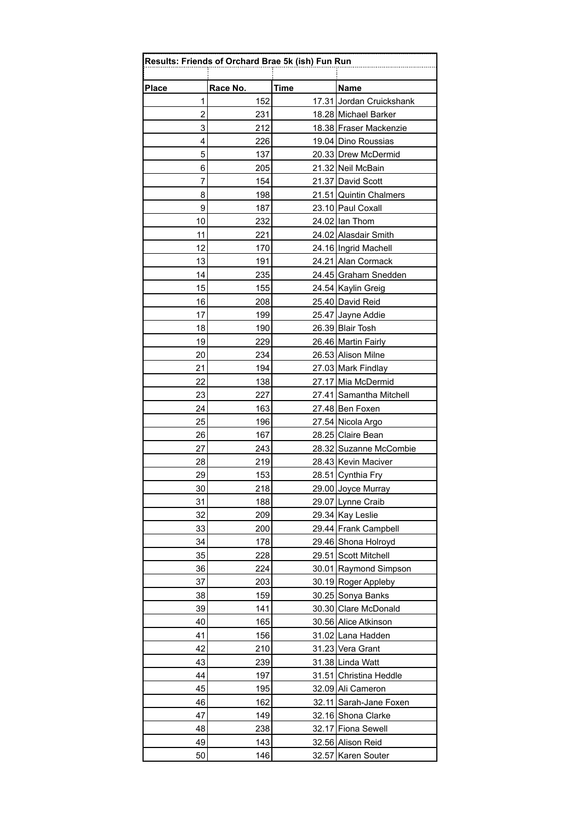|  | m |
|--|---|
|  |   |
|  |   |
|  |   |
|  |   |